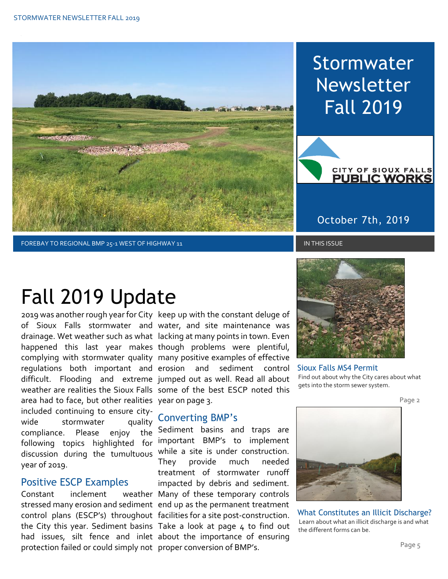

Stormwater Newsletter Fall 2019



#### October 7th, 2019

#### FOREBAY TO REGIONAL BMP 25-1 WEST OF HIGHWAY 11 IN THIS ISSUE IN THIS ISSUE

# Fall 2019 Update

area had to face, but other realities year on page 3. included continuing to ensure citywide stormwater quality compliance. Please enjoy following topics highlighted for discussion during the tumultuous while a site is under construction. year of 2019.

#### Positive ESCP Examples

Constant inclement stressed many erosion and sediment end up as the permanent treatment had issues, silt fence and inlet about the importance of ensuring protection failed or could simply not proper conversion of BMP's.

2019 was another rough year for City keep up with the constant deluge of of Sioux Falls stormwater and water, and site maintenance was drainage. Wet weather such as what lacking at many points in town. Even happened this last year makes though problems were plentiful, complying with stormwater quality many positive examples of effective regulations both important and erosion and sediment control difficult. Flooding and extreme jumped out as well. Read all about weather are realities the Sioux Falls some of the best ESCP noted this

#### Converting BMP's

control plans (ESCP's) throughout facilities for a site post-construction. the City this year. Sediment basins Take a look at page 4 to find out the Sediment basins and traps are important BMP's to implement They provide much needed treatment of stormwater runoff impacted by debris and sediment. weather Many of these temporary controls



Sioux Falls MS4 Permit Find out about why the City cares about what gets into the storm sewer system.

Page 2



What Constitutes an Illicit Discharge? Learn about what an illicit discharge is and what the different forms can be.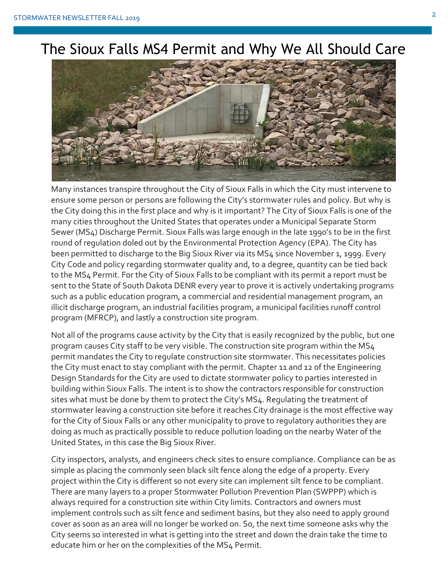

Many instances transpire throughout the City of Sioux Falls in which the City must intervene to ensure some person or persons are following the City's stormwater rules and policy. But why is the City doing this in the first place and why is it important? The City of Sioux Falls is one of the many cities throughout the United States that operates under a Municipal Separate Storm Sewer (MS4) Discharge Permit. Sioux Falls was large enough in the late 1990's to be in the first round of regulation doled out by the Environmental Protection Agency (EPA). The City has been permitted to discharge to the Big Sioux River via its MS4 since November 1, 1999. Every City Code and policy regarding stormwater quality and, to a degree, quantity can be tied back to the MS4 Permit. For the City of Sioux Falls to be compliant with its permit a report must be sent to the State of South Dakota DENR every year to prove it is actively undertaking programs such as a public education program, a commercial and residential management program, an illicit discharge program, an industrial facilities program, a municipal facilities runoff control program (MFRCP), and lastly a construction site program.

Not all of the programs cause activity by the City that is easily recognized by the public, but one program causes City staff to be very visible. The construction site program within the MS4 permit mandates the City to regulate construction site stormwater. This necessitates policies the City must enact to stay compliant with the permit. Chapter 11 and 12 of the Engineering Design Standards for the City are used to dictate stormwater policy to parties interested in building within Sioux Falls. The intent is to show the contractors responsible for construction sites what must be done by them to protect the City's MS4. Regulating the treatment of stormwater leaving a construction site before it reaches City drainage is the most effective way for the City of Sioux Falls or any other municipality to prove to regulatory authorities they are doing as much as practically possible to reduce pollution loading on the nearby Water of the United States, in this case the Big Sioux River.

City inspectors, analysts, and engineers check sites to ensure compliance. Compliance can be as simple as placing the commonly seen black silt fence along the edge of a property. Every project within the City is different so not every site can implement silt fence to be compliant. There are many layers to a proper Stormwater Pollution Prevention Plan (SWPPP) which is always required for a construction site within City limits. Contractors and owners must implement controls such as silt fence and sediment basins, but they also need to apply ground cover as soon as an area will no longer be worked on. So, the next time someone asks why the City seems so interested in what is getting into the street and down the drain take the time to educate him or her on the complexities of the MS4 Permit.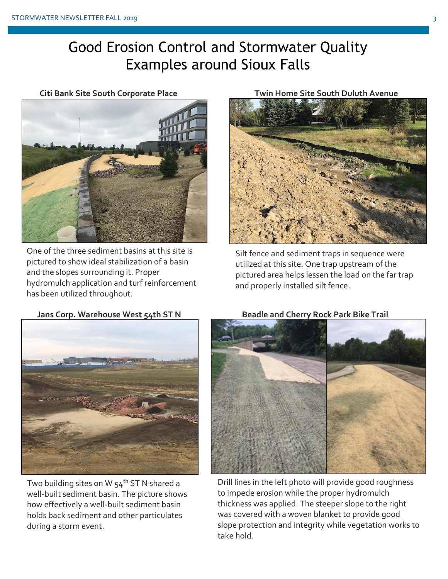### Good Erosion Control and Stormwater Quality Examples around Sioux Falls

**Citi Bank Site South Corporate Place**



One of the three sediment basins at this site is pictured to show ideal stabilization of a basin and the slopes surrounding it. Proper hydromulch application and turf reinforcement has been utilized throughout.





Silt fence and sediment traps in sequence were utilized at this site. One trap upstream of the pictured area helps lessen the load on the far trap and properly installed silt fence.



Two building sites on W  $54<sup>th</sup>$  ST N shared a well-built sediment basin. The picture shows how effectively a well-built sediment basin holds back sediment and other particulates during a storm event.

**Beadle and Cherry Rock Park Bike Trail**



Drill lines in the left photo will provide good roughness to impede erosion while the proper hydromulch thickness was applied. The steeper slope to the right was covered with a woven blanket to provide good slope protection and integrity while vegetation works to take hold.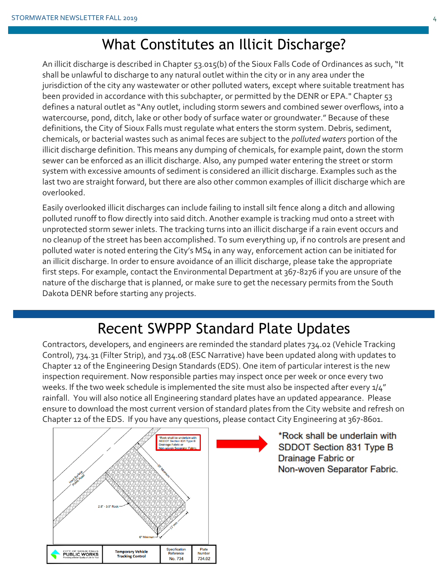#### What Constitutes an Illicit Discharge?

An illicit discharge is described in Chapter 53.015(b) of the Sioux Falls Code of Ordinances as such, "It shall be unlawful to discharge to any natural outlet within the city or in any area under the jurisdiction of the city any wastewater or other polluted waters, except where suitable treatment has been provided in accordance with this subchapter, or permitted by the DENR or EPA." Chapter 53 defines a natural outlet as "Any outlet, including storm sewers and combined sewer overflows, into a watercourse, pond, ditch, lake or other body of surface water or groundwater." Because of these definitions, the City of Sioux Falls must regulate what enters the storm system. Debris, sediment, chemicals, or bacterial wastes such as animal feces are subject to the *polluted waters* portion of the illicit discharge definition. This means any dumping of chemicals, for example paint, down the storm sewer can be enforced as an illicit discharge. Also, any pumped water entering the street or storm system with excessive amounts of sediment is considered an illicit discharge. Examples such as the last two are straight forward, but there are also other common examples of illicit discharge which are overlooked.

Easily overlooked illicit discharges can include failing to install silt fence along a ditch and allowing polluted runoff to flow directly into said ditch. Another example is tracking mud onto a street with unprotected storm sewer inlets. The tracking turns into an illicit discharge if a rain event occurs and no cleanup of the street has been accomplished. To sum everything up, if no controls are present and polluted water is noted entering the City's MS4 in any way, enforcement action can be initiated for an illicit discharge. In order to ensure avoidance of an illicit discharge, please take the appropriate first steps. For example, contact the Environmental Department at 367-8276 if you are unsure of the nature of the discharge that is planned, or make sure to get the necessary permits from the South Dakota DENR before starting any projects.

### Recent SWPPP Standard Plate Updates

Contractors, developers, and engineers are reminded the standard plates 734.02 (Vehicle Tracking Control), 734.31 (Filter Strip), and 734.08 (ESC Narrative) have been updated along with updates to Chapter 12 of the Engineering Design Standards (EDS). One item of particular interest is the new inspection requirement. Now responsible parties may inspect once per week or once every two weeks. If the two week schedule is implemented the site must also be inspected after every  $1/4''$ rainfall. You will also notice all Engineering standard plates have an updated appearance. Please ensure to download the most current version of standard plates from the City website and refresh on Chapter 12 of the EDS. If you have any questions, please contact City Engineering at 367-8601.



\*Rock shall be underlain with SDDOT Section 831 Type B Drainage Fabric or Non-woven Separator Fabric.